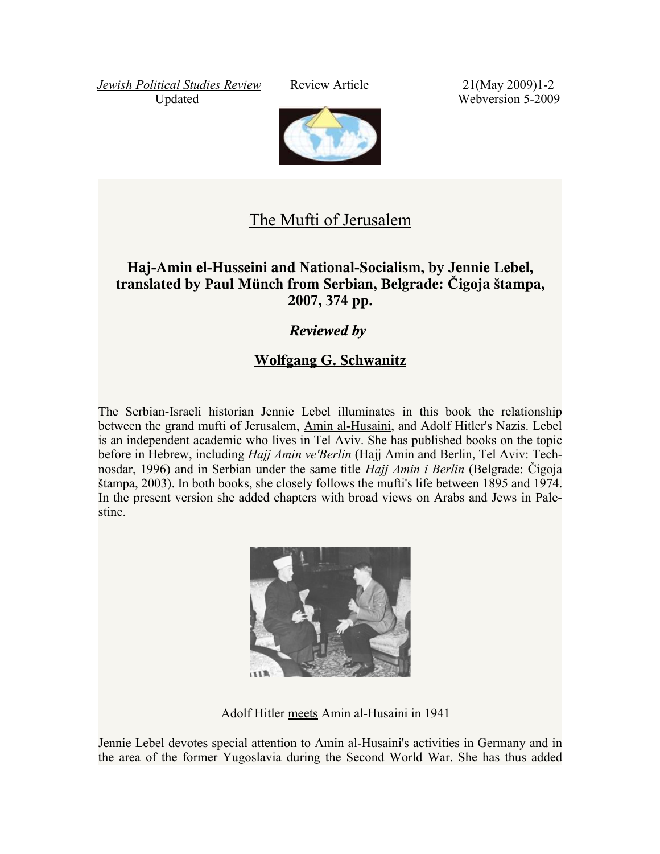*[Jewish Political Studies Review](http://www.jcpa.org/JCPA/Templates/ShowPage.asp?DBID=1&LNGID=1&TMID=610&FID=624&PID=0&IID=2968)* Review Article 21(May 2009)1-2 Updated Webversion 5-2009



## [The Mufti of Jerusalem](http://www.jcpa.org/JCPA/Templates/ShowPage.asp?DBID=1&LNGID=1&TMID=111&FID=624&PID=0&IID=2967)

## **Haj-Amin el-Husseini and National-Socialism, by Jennie Lebel, translated by Paul Münch from Serbian, Belgrade: Čigoja štampa, 2007, 374 pp.**

## *Reviewed by*

## **[Wolfgang G. Schwanitz](http://www.trafoberlin.de/Autoren/schwanitz_wolfgang.htm)**

The Serbian-Israeli historian [Jennie](http://www.sehepunkte.de/2008/10/15069.html) Lebel illuminates in this book the relationship between the grand mufti of Jerusalem, Amin [al-Husaini,](http://www.jpost.com/servlet/Satellite?cid=1237727529316&pagename=JPost/JPArticle/ShowFull) and Adolf Hitler's Nazis. Lebel is an independent academic who lives in Tel Aviv. She has published books on the topic before in Hebrew, including *Hajj Amin ve'Berlin* (Hajj Amin and Berlin, Tel Aviv: Technosdar, 1996) and in Serbian under the same title *Hajj Amin i Berlin* (Belgrade: Čigoja štampa, 2003). In both books, she closely follows the mufti's life between 1895 and 1974. In the present version she added chapters with broad views on Arabs and Jews in Palestine.



Adolf Hitler [meets](http://www.youtube.com/watch?v=d51poygEXYU&eurl) Amin al-Husaini in 1941

Jennie Lebel devotes special attention to Amin al-Husaini's activities in Germany and in the area of the former Yugoslavia during the Second World War. She has thus added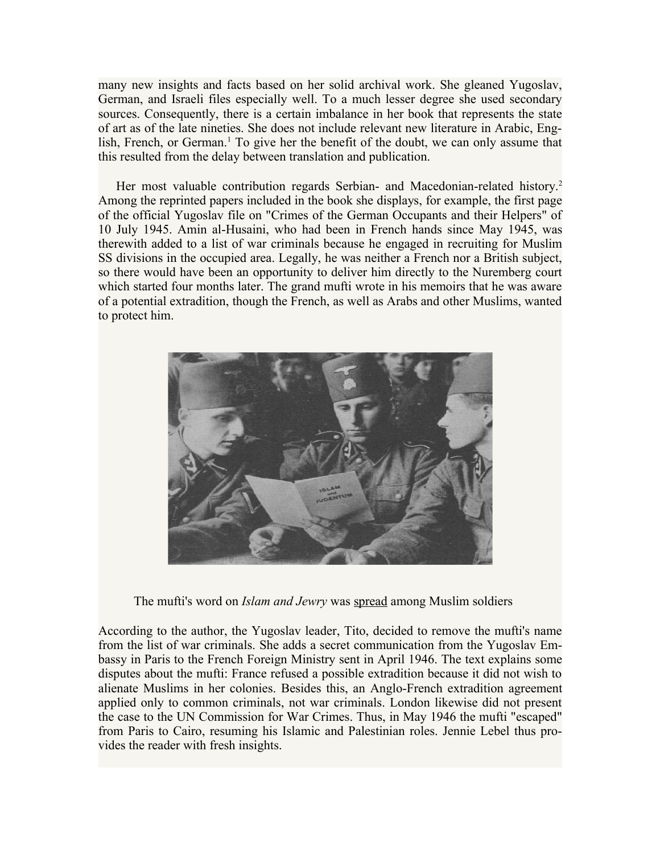many new insights and facts based on her solid archival work. She gleaned Yugoslav, German, and Israeli files especially well. To a much lesser degree she used secondary sources. Consequently, there is a certain imbalance in her book that represents the state of art as of the late nineties. She does not include relevant new literature in Arabic, English, French, or German.<sup>1</sup> To give her the benefit of the doubt, we can only assume that this resulted from the delay between translation and publication.

Her most valuable contribution regards Serbian- and Macedonian-related history.<sup>2</sup> Among the reprinted papers included in the book she displays, for example, the first page of the official Yugoslav file on "Crimes of the German Occupants and their Helpers" of 10 July 1945. Amin al-Husaini, who had been in French hands since May 1945, was therewith added to a list of war criminals because he engaged in recruiting for Muslim SS divisions in the occupied area. Legally, he was neither a French nor a British subject, so there would have been an opportunity to deliver him directly to the Nuremberg court which started four months later. The grand mufti wrote in his memoirs that he was aware of a potential extradition, though the French, as well as Arabs and other Muslims, wanted to protect him.



The mufti's word on *Islam and Jewry* was [spread](http://www.youtube.com/watch?v=h2dUpoeyqwE) among Muslim soldiers

According to the author, the Yugoslav leader, Tito, decided to remove the mufti's name from the list of war criminals. She adds a secret communication from the Yugoslav Embassy in Paris to the French Foreign Ministry sent in April 1946. The text explains some disputes about the mufti: France refused a possible extradition because it did not wish to alienate Muslims in her colonies. Besides this, an Anglo-French extradition agreement applied only to common criminals, not war criminals. London likewise did not present the case to the UN Commission for War Crimes. Thus, in May 1946 the mufti "escaped" from Paris to Cairo, resuming his Islamic and Palestinian roles. Jennie Lebel thus provides the reader with fresh insights.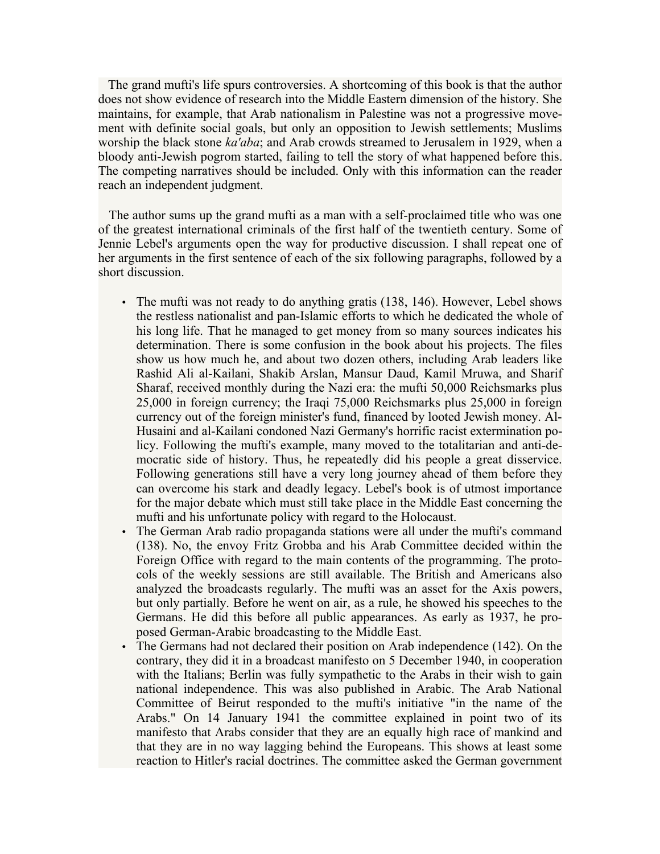The grand mufti's life spurs controversies. A shortcoming of this book is that the author does not show evidence of research into the Middle Eastern dimension of the history. She maintains, for example, that Arab nationalism in Palestine was not a progressive movement with definite social goals, but only an opposition to Jewish settlements; Muslims worship the black stone *ka'aba*; and Arab crowds streamed to Jerusalem in 1929, when a bloody anti-Jewish pogrom started, failing to tell the story of what happened before this. The competing narratives should be included. Only with this information can the reader reach an independent judgment.

The author sums up the grand mufti as a man with a self-proclaimed title who was one of the greatest international criminals of the first half of the twentieth century. Some of Jennie Lebel's arguments open the way for productive discussion. I shall repeat one of her arguments in the first sentence of each of the six following paragraphs, followed by a short discussion.

- The mufti was not ready to do anything gratis (138, 146). However, Lebel shows the restless nationalist and pan-Islamic efforts to which he dedicated the whole of his long life. That he managed to get money from so many sources indicates his determination. There is some confusion in the book about his projects. The files show us how much he, and about two dozen others, including Arab leaders like Rashid Ali al-Kailani, Shakib Arslan, Mansur Daud, Kamil Mruwa, and Sharif Sharaf, received monthly during the Nazi era: the mufti 50,000 Reichsmarks plus 25,000 in foreign currency; the Iraqi 75,000 Reichsmarks plus 25,000 in foreign currency out of the foreign minister's fund, financed by looted Jewish money. Al-Husaini and al-Kailani condoned Nazi Germany's horrific racist extermination policy. Following the mufti's example, many moved to the totalitarian and anti-democratic side of history. Thus, he repeatedly did his people a great disservice. Following generations still have a very long journey ahead of them before they can overcome his stark and deadly legacy. Lebel's book is of utmost importance for the major debate which must still take place in the Middle East concerning the mufti and his unfortunate policy with regard to the Holocaust.
- The German Arab radio propaganda stations were all under the mufti's command (138). No, the envoy Fritz Grobba and his Arab Committee decided within the Foreign Office with regard to the main contents of the programming. The protocols of the weekly sessions are still available. The British and Americans also analyzed the broadcasts regularly. The mufti was an asset for the Axis powers, but only partially. Before he went on air, as a rule, he showed his speeches to the Germans. He did this before all public appearances. As early as 1937, he proposed German-Arabic broadcasting to the Middle East.
- The Germans had not declared their position on Arab independence (142). On the contrary, they did it in a broadcast manifesto on 5 December 1940, in cooperation with the Italians; Berlin was fully sympathetic to the Arabs in their wish to gain national independence. This was also published in Arabic. The Arab National Committee of Beirut responded to the mufti's initiative "in the name of the Arabs." On 14 January 1941 the committee explained in point two of its manifesto that Arabs consider that they are an equally high race of mankind and that they are in no way lagging behind the Europeans. This shows at least some reaction to Hitler's racial doctrines. The committee asked the German government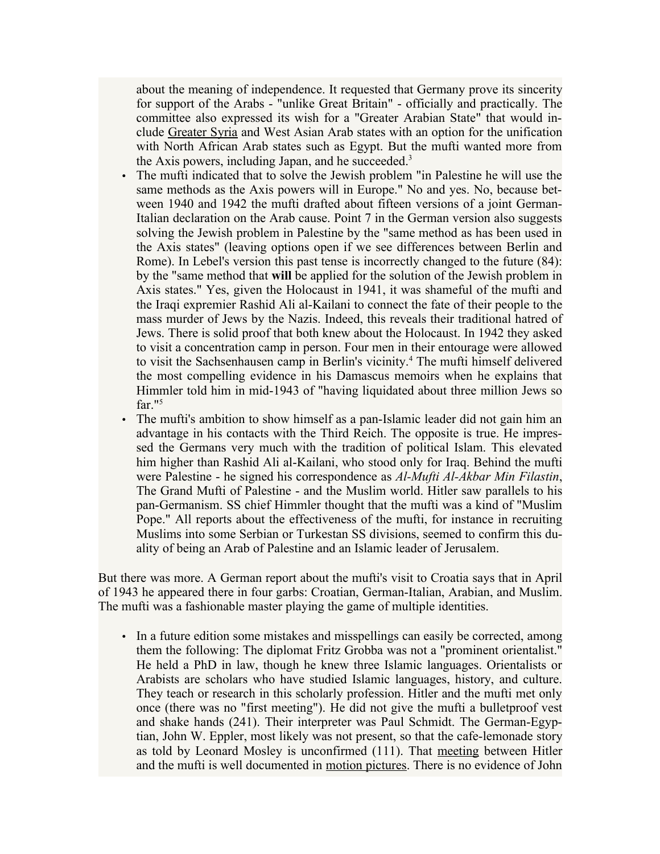about the meaning of independence. It requested that Germany prove its sincerity for support of the Arabs - "unlike Great Britain" - officially and practically. The committee also expressed its wish for a "Greater Arabian State" that would include [Greater](http://hsozkult.geschichte.hu-berlin.de/rezensionen/type=rezbuecher&id=12568) Syria and West Asian Arab states with an option for the unification with North African Arab states such as Egypt. But the mufti wanted more from the Axis powers, including Japan, and he succeeded.<sup>3</sup>

- The mufti indicated that to solve the Jewish problem "in Palestine he will use the same methods as the Axis powers will in Europe." No and yes. No, because between 1940 and 1942 the mufti drafted about fifteen versions of a joint German-Italian declaration on the Arab cause. Point 7 in the German version also suggests solving the Jewish problem in Palestine by the "same method as has been used in the Axis states" (leaving options open if we see differences between Berlin and Rome). In Lebel's version this past tense is incorrectly changed to the future (84): by the "same method that **will** be applied for the solution of the Jewish problem in Axis states." Yes, given the Holocaust in 1941, it was shameful of the mufti and the Iraqi expremier Rashid Ali al-Kailani to connect the fate of their people to the mass murder of Jews by the Nazis. Indeed, this reveals their traditional hatred of Jews. There is solid proof that both knew about the Holocaust. In 1942 they asked to visit a concentration camp in person. Four men in their entourage were allowed to visit the Sachsenhausen camp in Berlin's vicinity.<sup>4</sup> The mufti himself delivered the most compelling evidence in his Damascus memoirs when he explains that Himmler told him in mid-1943 of "having liquidated about three million Jews so far."<sup>5</sup>
- The mufti's ambition to show himself as a pan-Islamic leader did not gain him an advantage in his contacts with the Third Reich. The opposite is true. He impressed the Germans very much with the tradition of political Islam. This elevated him higher than Rashid Ali al-Kailani, who stood only for Iraq. Behind the mufti were Palestine - he signed his correspondence as *Al-Mufti Al-Akbar Min Filastin*, The Grand Mufti of Palestine - and the Muslim world. Hitler saw parallels to his pan-Germanism. SS chief Himmler thought that the mufti was a kind of "Muslim Pope." All reports about the effectiveness of the mufti, for instance in recruiting Muslims into some Serbian or Turkestan SS divisions, seemed to confirm this duality of being an Arab of Palestine and an Islamic leader of Jerusalem.

But there was more. A German report about the mufti's visit to Croatia says that in April of 1943 he appeared there in four garbs: Croatian, German-Italian, Arabian, and Muslim. The mufti was a fashionable master playing the game of multiple identities.

• In a future edition some mistakes and misspellings can easily be corrected, among them the following: The diplomat Fritz Grobba was not a "prominent orientalist." He held a PhD in law, though he knew three Islamic languages. Orientalists or Arabists are scholars who have studied Islamic languages, history, and culture. They teach or research in this scholarly profession. Hitler and the mufti met only once (there was no "first meeting"). He did not give the mufti a bulletproof vest and shake hands (241). Their interpreter was Paul Schmidt. The German-Egyptian, John W. Eppler, most likely was not present, so that the cafe-lemonade story as told by Leonard Mosley is unconfirmed (111). That [meeting](http://www.youtube.com/watch?v=d51poygEXYU&eurl) between Hitler and the mufti is well documented in [motion pictures.](http://www.youtube.com/watch?v=h2dUpoeyqwE) There is no evidence of John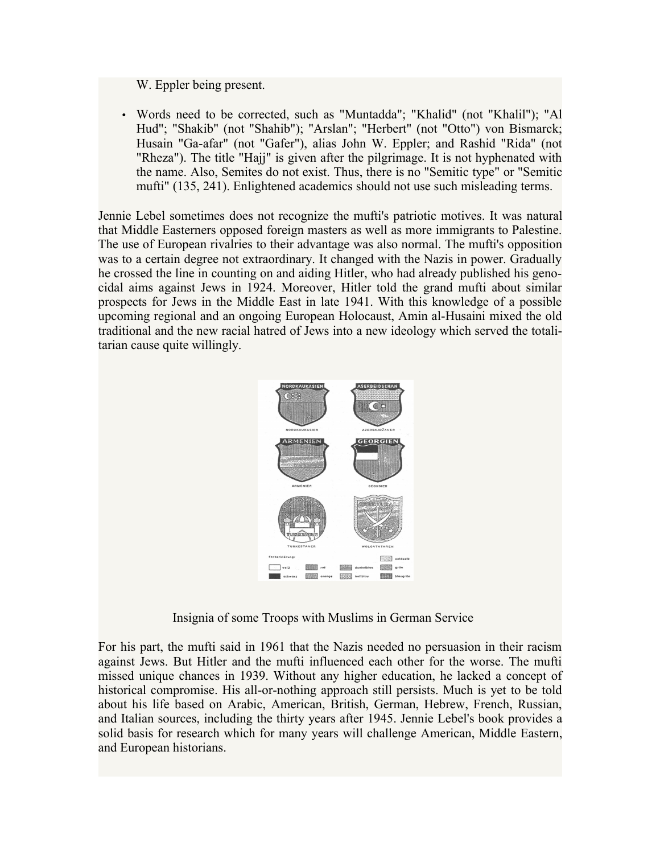W. Eppler being present.

• Words need to be corrected, such as "Muntadda"; "Khalid" (not "Khalil"); "Al Hud"; "Shakib" (not "Shahib"); "Arslan"; "Herbert" (not "Otto") von Bismarck; Husain "Ga-afar" (not "Gafer"), alias John W. Eppler; and Rashid "Rida" (not "Rheza"). The title "Hajj" is given after the pilgrimage. It is not hyphenated with the name. Also, Semites do not exist. Thus, there is no "Semitic type" or "Semitic mufti" (135, 241). Enlightened academics should not use such misleading terms.

Jennie Lebel sometimes does not recognize the mufti's patriotic motives. It was natural that Middle Easterners opposed foreign masters as well as more immigrants to Palestine. The use of European rivalries to their advantage was also normal. The mufti's opposition was to a certain degree not extraordinary. It changed with the Nazis in power. Gradually he crossed the line in counting on and aiding Hitler, who had already published his genocidal aims against Jews in 1924. Moreover, Hitler told the grand mufti about similar prospects for Jews in the Middle East in late 1941. With this knowledge of a possible upcoming regional and an ongoing European Holocaust, Amin al-Husaini mixed the old traditional and the new racial hatred of Jews into a new ideology which served the totalitarian cause quite willingly.



Insignia of some Troops with Muslims in German Service

For his part, the mufti said in 1961 that the Nazis needed no persuasion in their racism against Jews. But Hitler and the mufti influenced each other for the worse. The mufti missed unique chances in 1939. Without any higher education, he lacked a concept of historical compromise. His all-or-nothing approach still persists. Much is yet to be told about his life based on Arabic, American, British, German, Hebrew, French, Russian, and Italian sources, including the thirty years after 1945. Jennie Lebel's book provides a solid basis for research which for many years will challenge American, Middle Eastern, and European historians.